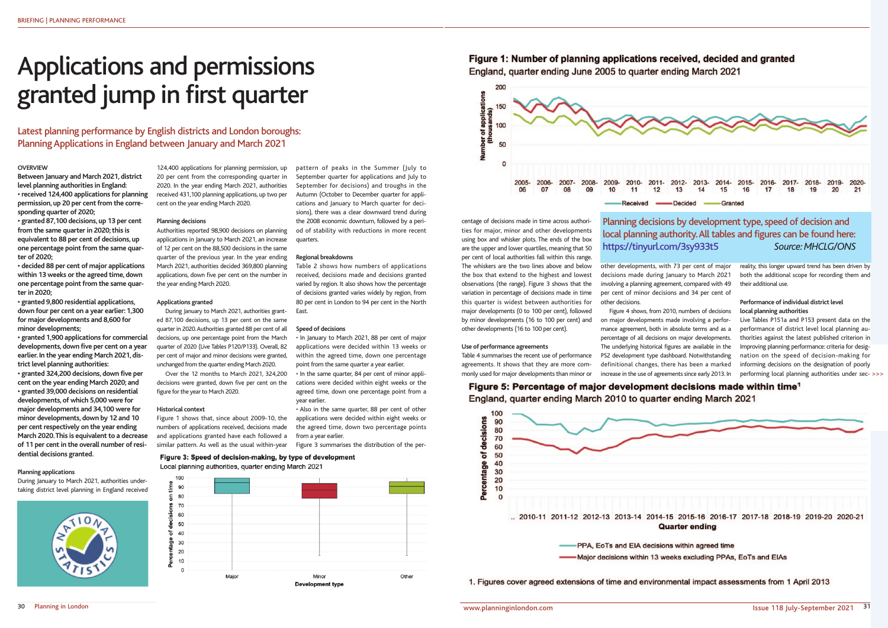#### **OVERVIEW**

**Between January and March 2021, district level planning authorities in England: • received 124,400 applications for planning permission, up 20 per cent from the corresponding quarter of 2020;**

**• granted 87,100 decisions, up 13 per cent from the same quarter in 2020; this is equivalent to 88 per cent of decisions, up one percentage point from the same quarter of 2020;**

**• decided 88 per cent of major applications within 13 weeks or the agreed time, down one percentage point from the same quarter in 2020;**

**• granted 9,800 residential applications, down four per cent on a year earlier: 1,300 for major developments and 8,600 for minor developments;**

**• granted 1,900 applications for commercial developments, down five per cent on a year earlier. In the year ending March 2021, district level planning authorities:**

**• granted 324,200 decisions, down five per cent on the year ending March 2020; and • granted 39,000 decisions on residential developments, of which 5,000 were for major developments and 34,100 were for minor developments, down by 12 and 10 per cent respectively on the year ending March 2020. This is equivalent to a decrease of 11 per cent in the overall number of residential decisions granted.**

#### **Planning applications**

During January to March 2021, authorities undertaking district level planning in England received



124,400 applications for planning permission, up 20 per cent from the corresponding quarter in 2020. In the year ending March 2021, authorities received 431,100 planning applications, up two per cent on the year ending March 2020.

> Table 2 shows how numbers of applications received, decisions made and decisions granted varied by region. It also shows how the percentage of decisions granted varies widely by region, from 80 per cent in London to 94 per cent in the North **East**

#### **Planning decisions**

Authorities reported 98,900 decisions on planning applications in January to March 2021, an increase of 12 per cent on the 88,500 decisions in the same quarter of the previous year. In the year ending March 2021, authorities decided 369,800 planning applications, down five per cent on the number in the year ending March 2020.

#### **Applications granted**

During January to March 2021, authorities granted 87,100 decisions, up 13 per cent on the same quarter in 2020. Authorities granted 88 per cent of all decisions, up one percentage point from the March quarter of 2020 (Live Tables P120/P133). Overall, 82 per cent of major and minor decisions were granted, unchanged from the quarter ending March 2020.

Over the 12 months to March 2021, 324,200 decisions were granted, down five per cent on the figure for the year to March 2020.

#### **Historical context**

Figure 1 shows that, since about 2009-10, the numbers of applications received, decisions made and applications granted have each followed a similar pattern. As well as the usual within-year

pattern of peaks in the Summer (July to September quarter for applications and July to September for decisions) and troughs in the Autumn (October to December quarter for applications and January to March quarter for decisions), there was a clear downward trend during the 2008 economic downturn, followed by a period of stability with reductions in more recent quarters.

#### **Regional breakdowns**

#### **Speed of decisions**

• In January to March 2021, 88 per cent of major applications were decided within 13 weeks or within the agreed time, down one percentage point from the same quarter a year earlier.

• In the same quarter, 84 per cent of minor applications were decided within eight weeks or the agreed time, down one percentage point from a year earlier.

• Also in the same quarter, 88 per cent of other applications were decided within eight weeks or the agreed time, down two percentage points from a year earlier.

Figure 3 summarises the distribution of the per-

### Figure 3: Speed of decision-making, by type of development Local planning authorities, quarter ending March 2021



# Figure 1: Number of planning applications received, decided and granted England, quarter ending June 2005 to quarter ending March 2021

# Applications and permissions granted jump in first quarter

Latest planning performance by English districts and London boroughs: Planning Applications in England between January and March 2021

> centage of decisions made in time across authorities for major, minor and other developments using box and whisker plots. The ends of the box are the upper and lower quartiles, meaning that 50 per cent of local authorities fall within this range. The whiskers are the two lines above and below the box that extend to the highest and lowest observations (the range). Figure 3 shows that the variation in percentage of decisions made in time this quarter is widest between authorities for major developments (0 to 100 per cent), followed by minor developments (16 to 100 per cent) and other developments (16 to 100 per cent).

#### **Use of performance agreements**

Table 4 summarises the recent use of performance agreements. It shows that they are more commonly used for major developments than minor or

Figure 5: Percentage of major development decisions made within time<sup>1</sup> England, quarter ending March 2010 to quarter ending March 2021



1. Figures cover agreed extensions of time and environmental impact assessments from 1 April 2013

other developments, with 73 per cent of major decisions made during January to March 2021 involving a planning agreement, compared with 49 per cent of minor decisions and 34 per cent of

other decisions.



Figure 4 shows, from 2010, numbers of decisions on major developments made involving a performance agreement, both in absolute terms and as a percentage of all decisions on major developments. The underlying historical figures are available in the PS2 development type dashboard. Notwithstanding definitional changes, there has been a marked increase in the use of agreements since early 2013. In reality, this longer upward trend has been driven by both the additional scope for recording them and their additional use.

## **Performance of individual district level local planning authorities**

Live Tables P151a and P153 present data on the performance of district level local planning authorities against the latest published criterion in Improving planning performance: criteria for designation on the speed of decision-making for informing decisions on the designation of poorly performing local planning authorities under sec->>>

.. 2010-11 2011-12 2012-13 2013-14 2014-15 2015-16 2016-17 2017-18 2018-19 2019-20 2020-21 **Quarter ending** 

# Planning decisions by development type, speed of decision and local planning authority. All tables and figures can be found here: https://tinyurl.com/3sy933t5 *Source: MHCLG/ONS*